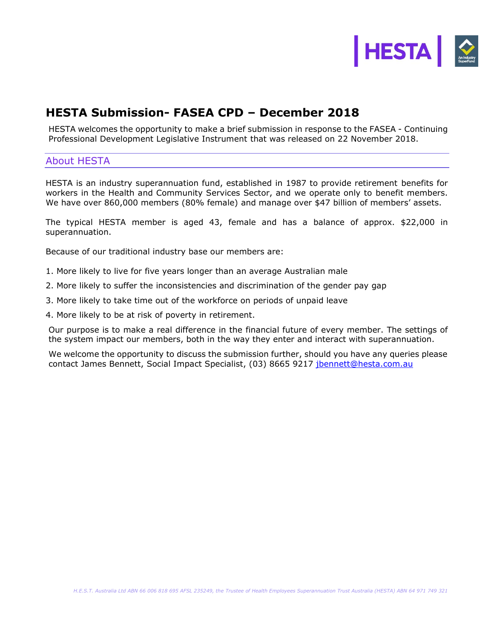

## **HESTA Submission- FASEA CPD – December 2018**

HESTA welcomes the opportunity to make a brief submission in response to the FASEA - Continuing Professional Development Legislative Instrument that was released on 22 November 2018.

## About HESTA

HESTA is an industry superannuation fund, established in 1987 to provide retirement benefits for workers in the Health and Community Services Sector, and we operate only to benefit members. We have over 860,000 members (80% female) and manage over \$47 billion of members' assets.

The typical HESTA member is aged 43, female and has a balance of approx. \$22,000 in superannuation.

Because of our traditional industry base our members are:

- 1. More likely to live for five years longer than an average Australian male
- 2. More likely to suffer the inconsistencies and discrimination of the gender pay gap
- 3. More likely to take time out of the workforce on periods of unpaid leave
- 4. More likely to be at risk of poverty in retirement.

Our purpose is to make a real difference in the financial future of every member. The settings of the system impact our members, both in the way they enter and interact with superannuation.

We welcome the opportunity to discuss the submission further, should you have any queries please contact James Bennett, Social Impact Specialist, (03) 8665 9217 [jbennett@hesta.com.au](mailto:jbennett@hesta.com.au)